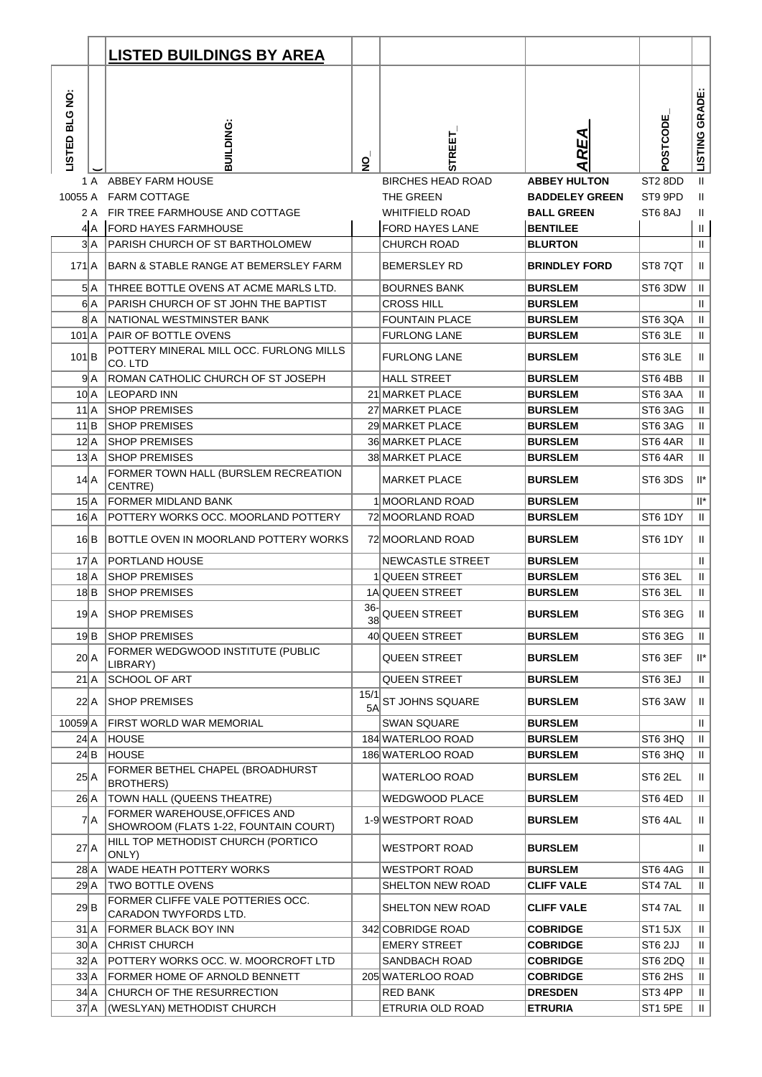|                        |               | <b>LISTED BUILDINGS BY AREA</b>                                         |                |                                         |                                            |                     |                     |
|------------------------|---------------|-------------------------------------------------------------------------|----------------|-----------------------------------------|--------------------------------------------|---------------------|---------------------|
| LISTED BLG NO:         |               | BUILDING:                                                               | $\overline{2}$ | <b>STREET</b>                           | <b>REA</b>                                 | POSTCODE            | LISTING GRADE       |
|                        | 1 A           | <b>ABBEY FARM HOUSE</b>                                                 |                | <b>BIRCHES HEAD ROAD</b>                | <b>ABBEY HULTON</b>                        | ST <sub>2</sub> 8DD | Ш                   |
|                        |               | 10055 A FARM COTTAGE<br>2 A FIR TREE FARMHOUSE AND COTTAGE              |                | THE GREEN<br><b>WHITFIELD ROAD</b>      | <b>BADDELEY GREEN</b><br><b>BALL GREEN</b> | ST9 9PD<br>ST6 8AJ  | Ш<br>H.             |
|                        | 4A            | <b>FORD HAYES FARMHOUSE</b>                                             |                | FORD HAYES LANE                         | <b>BENTILEE</b>                            |                     | Ш                   |
|                        | ЗA            | PARISH CHURCH OF ST BARTHOLOMEW                                         |                | <b>CHURCH ROAD</b>                      | <b>BLURTON</b>                             |                     | $\mathbf{H}$        |
| $171$ $A$              |               | BARN & STABLE RANGE AT BEMERSLEY FARM                                   |                | <b>BEMERSLEY RD</b>                     | <b>BRINDLEY FORD</b>                       | ST87QT              | $\mathbf{H}$        |
|                        | 5 A           | THREE BOTTLE OVENS AT ACME MARLS LTD.                                   |                | <b>BOURNES BANK</b>                     | <b>BURSLEM</b>                             | ST6 3DW             | Ш                   |
|                        | 6  A          | PARISH CHURCH OF ST JOHN THE BAPTIST                                    |                | <b>CROSS HILL</b>                       | <b>BURSLEM</b>                             |                     | $\mathbf{H}$        |
|                        | 8 A           | NATIONAL WESTMINSTER BANK                                               |                | <b>FOUNTAIN PLACE</b>                   | <b>BURSLEM</b>                             | ST63QA              | Ш                   |
| $101$ $A$              |               | PAIR OF BOTTLE OVENS                                                    |                | <b>FURLONG LANE</b>                     | <b>BURSLEM</b>                             | ST6 3LE             | Ш                   |
| $101$ $B$              |               | POTTERY MINERAL MILL OCC. FURLONG MILLS<br>CO. LTD                      |                | <b>FURLONG LANE</b>                     | <b>BURSLEM</b>                             | ST6 3LE             | $\mathbf{II}$       |
|                        | $9\mathsf{A}$ | ROMAN CATHOLIC CHURCH OF ST JOSEPH                                      |                | <b>HALL STREET</b>                      | <b>BURSLEM</b>                             | ST64BB              | $\mathbf{H}$        |
|                        | $10\vert A$   | <b>LEOPARD INN</b>                                                      |                | 21 MARKET PLACE                         | <b>BURSLEM</b>                             | ST6 3AA             | $\rm H$             |
| 11 <sup>1</sup> A      |               | <b>SHOP PREMISES</b>                                                    |                | 27 MARKET PLACE                         | <b>BURSLEM</b>                             | ST6 3AG             | $\mathbf{H}$        |
| 11 B<br>$12\mathsf{A}$ |               | <b>SHOP PREMISES</b><br><b>SHOP PREMISES</b>                            |                | 29 MARKET PLACE<br>36 MARKET PLACE      | <b>BURSLEM</b><br><b>BURSLEM</b>           | ST6 3AG<br>ST64AR   | Ш                   |
| $13\,A$                |               | <b>SHOP PREMISES</b>                                                    |                | 38 MARKET PLACE                         | <b>BURSLEM</b>                             | ST6 4AR             | Ш<br>Ш              |
| $14$ $A$               |               | FORMER TOWN HALL (BURSLEM RECREATION<br><b>CENTRE)</b>                  |                | <b>MARKET PLACE</b>                     | <b>BURSLEM</b>                             | ST6 3DS             | $\mathbb{I}^*$      |
| $15\text{A}$           |               | FORMER MIDLAND BANK                                                     |                | 1 MOORLAND ROAD                         | <b>BURSLEM</b>                             |                     | $\mathsf{II}^\star$ |
|                        | 16 A          | POTTERY WORKS OCC. MOORLAND POTTERY                                     |                | 72 MOORLAND ROAD                        | <b>BURSLEM</b>                             | ST6 1DY             | $\mathbf{H}$        |
|                        | 16 B          | BOTTLE OVEN IN MOORLAND POTTERY WORKS                                   |                | 72 MOORLAND ROAD                        | <b>BURSLEM</b>                             | ST6 1DY             | Ш                   |
| 17A                    |               | <b>PORTLAND HOUSE</b>                                                   |                | NEWCASTLE STREET                        | <b>BURSLEM</b>                             |                     | Ш                   |
| $18$ $A$               |               | <b>SHOP PREMISES</b>                                                    |                | <b>QUEEN STREET</b>                     | <b>BURSLEM</b>                             | ST6 3EL             | Ш                   |
| 18 B                   |               | <b>SHOP PREMISES</b>                                                    |                | 1A QUEEN STREET                         | <b>BURSLEM</b>                             | ST6 3EL             | Ш                   |
|                        | 19  A         | <b>SHOP PREMISES</b>                                                    | $36-$<br>38    | <b>QUEEN STREET</b>                     | <b>BURSLEM</b>                             | ST6 3EG             | $\mathbf{H}$        |
|                        | 19 B          | <b>SHOP PREMISES</b>                                                    |                | 40 QUEEN STREET                         | <b>BURSLEM</b>                             | ST6 3EG             | $\mathbf{H}$        |
| $20 \mid A$            |               | FORMER WEDGWOOD INSTITUTE (PUBLIC<br>LIBRARY)                           |                | <b>QUEEN STREET</b>                     | <b>BURSLEM</b>                             | ST6 3EF             | $\mathsf{II}^\star$ |
| $21$ $A$               |               | SCHOOL OF ART                                                           | 15/1           | QUEEN STREET                            | <b>BURSLEM</b>                             | ST6 3EJ             | $\mathbf{II}$       |
|                        | 22 A          | <b>SHOP PREMISES</b>                                                    | 5A             | ST JOHNS SQUARE                         | <b>BURSLEM</b>                             | ST6 3AW             | $\mathbf{H}$        |
| 10059 A                | 24 A          | FIRST WORLD WAR MEMORIAL<br><b>HOUSE</b>                                |                | <b>SWAN SQUARE</b><br>184 WATERLOO ROAD | <b>BURSLEM</b><br><b>BURSLEM</b>           | ST6 3HQ             | $\mathbf H$<br>Ш    |
|                        | 24 B          | <b>HOUSE</b>                                                            |                | 186 WATERLOO ROAD                       | <b>BURSLEM</b>                             | ST6 3HQ             | Ш                   |
| 25 A                   |               | FORMER BETHEL CHAPEL (BROADHURST<br><b>BROTHERS)</b>                    |                | WATERLOO ROAD                           | <b>BURSLEM</b>                             | ST6 2EL             | $\mathbf{H}$        |
| 26 A                   |               | TOWN HALL (QUEENS THEATRE)                                              |                | WEDGWOOD PLACE                          | <b>BURSLEM</b>                             | ST64ED              | $\mathbf{II}$       |
|                        | 7A            | FORMER WAREHOUSE, OF FICES AND<br>SHOWROOM (FLATS 1-22, FOUNTAIN COURT) |                | 1-9 WESTPORT ROAD                       | <b>BURSLEM</b>                             | ST6 4AL             | $\mathbf{H}$        |
| $27 \text{A}$          |               | HILL TOP METHODIST CHURCH (PORTICO<br>ONLY)                             |                | WESTPORT ROAD                           | <b>BURSLEM</b>                             |                     | $\mathbf{H}$        |
| $28$ $A$               |               | WADE HEATH POTTERY WORKS                                                |                | WESTPORT ROAD                           | <b>BURSLEM</b>                             | ST64AG              | $\mathbf{H}$        |
| 29A                    |               | TWO BOTTLE OVENS                                                        |                | SHELTON NEW ROAD                        | <b>CLIFF VALE</b>                          | ST47AL              | $\mathbf{H}$        |
| 29 B                   |               | FORMER CLIFFE VALE POTTERIES OCC.<br>CARADON TWYFORDS LTD.              |                | SHELTON NEW ROAD                        | <b>CLIFF VALE</b>                          | ST4 7AL             | $\mathbf{II}$       |
|                        | $31$ $A$      | FORMER BLACK BOY INN                                                    |                | 342 COBRIDGE ROAD                       | <b>COBRIDGE</b>                            | ST1 5JX             | $\mathbf{H}$        |
|                        | 30 A          | <b>CHRIST CHURCH</b>                                                    |                | EMERY STREET                            | <b>COBRIDGE</b>                            | ST6 2JJ             | Ш                   |
|                        | 32 A          | POTTERY WORKS OCC. W. MOORCROFT LTD                                     |                | SANDBACH ROAD                           | <b>COBRIDGE</b>                            | ST6 2DQ             | Ш                   |
|                        | 33A<br>34 A   | FORMER HOME OF ARNOLD BENNETT<br>CHURCH OF THE RESURRECTION             |                | 205 WATERLOO ROAD<br>RED BANK           | <b>COBRIDGE</b><br><b>DRESDEN</b>          | ST6 2HS<br>ST3 4PP  | Ш<br>Ш.             |
| $37$ $A$               |               | (WESLYAN) METHODIST CHURCH                                              |                | ETRURIA OLD ROAD                        | <b>ETRURIA</b>                             | ST1 5PE             | $\mathbf{H}$        |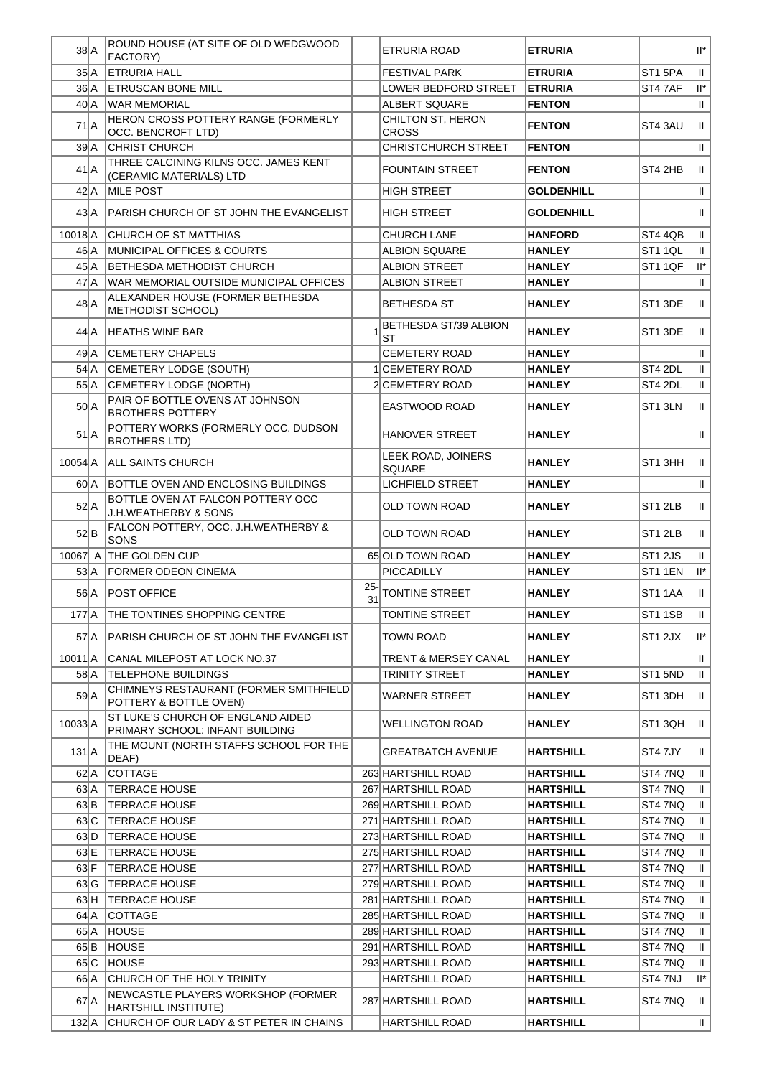| $38$ $A$                                | ROUND HOUSE (AT SITE OF OLD WEDGWOOD<br><b>FACTORY)</b>                   |              | ETRURIA ROAD                        | <b>ETRURIA</b>    |                     | $\mathsf{II}^\star$       |
|-----------------------------------------|---------------------------------------------------------------------------|--------------|-------------------------------------|-------------------|---------------------|---------------------------|
| $35\vert A$                             | <b>ETRURIA HALL</b>                                                       |              | <b>FESTIVAL PARK</b>                | <b>ETRURIA</b>    | ST <sub>1</sub> 5PA | $\mathbf{H}$              |
| 36 A                                    | <b>ETRUSCAN BONE MILL</b>                                                 |              | LOWER BEDFORD STREET                | <b>ETRURIA</b>    | ST47AF              | $\mathsf{II}^\star$       |
| 40 A                                    | <b>WAR MEMORIAL</b>                                                       |              | <b>ALBERT SQUARE</b>                | <b>FENTON</b>     |                     | $\mathbf{H}$              |
|                                         | HERON CROSS POTTERY RANGE (FORMERLY                                       |              | CHILTON ST, HERON                   |                   |                     |                           |
| 71A                                     | OCC. BENCROFT LTD)                                                        |              | <b>CROSS</b>                        | <b>FENTON</b>     | ST4 3AU             | $\mathbf{H}$              |
| 39 <sup>2</sup>                         | <b>CHRIST CHURCH</b>                                                      |              | <b>CHRISTCHURCH STREET</b>          | <b>FENTON</b>     |                     | $\mathbf{H}$              |
| $41$ $A$                                | THREE CALCINING KILNS OCC. JAMES KENT<br>(CERAMIC MATERIALS) LTD          |              | <b>FOUNTAIN STREET</b>              | <b>FENTON</b>     | ST4 2HB             | H.                        |
| $42 \mid A$                             | <b>MILE POST</b>                                                          |              | <b>HIGH STREET</b>                  | <b>GOLDENHILL</b> |                     | $\mathbf{H}$              |
| $43\vert A$                             | PARISH CHURCH OF ST JOHN THE EVANGELIST                                   |              | HIGH STREET                         | <b>GOLDENHILL</b> |                     | $\mathbf{H}$              |
| 10018A                                  | <b>CHURCH OF ST MATTHIAS</b>                                              |              | CHURCH LANE                         | <b>HANFORD</b>    | ST4 4QB             | $\,$ H $\,$               |
| 46 A                                    | MUNICIPAL OFFICES & COURTS                                                |              | <b>ALBION SQUARE</b>                | <b>HANLEY</b>     | ST1 1QL             | $\mathbf{H}$              |
| $45\,$ A                                | <b>BETHESDA METHODIST CHURCH</b>                                          |              | <b>ALBION STREET</b>                | <b>HANLEY</b>     | ST1 1QF             | $\mathsf{II}^\star$       |
| 47 A                                    | <b>WAR MEMORIAL OUTSIDE MUNICIPAL OFFICES</b>                             |              | <b>ALBION STREET</b>                | <b>HANLEY</b>     |                     | $\mathbf{H}$              |
| 48 A                                    | ALEXANDER HOUSE (FORMER BETHESDA<br>METHODIST SCHOOL)                     |              | <b>BETHESDA ST</b>                  | <b>HANLEY</b>     | ST <sub>1</sub> 3DE | $\mathbf{H}$              |
|                                         |                                                                           |              | <b>BETHESDA ST/39 ALBION</b>        |                   |                     |                           |
| 44 A                                    | <b>HEATHS WINE BAR</b>                                                    |              | ST                                  | <b>HANLEY</b>     | ST1 3DE             | $\mathbf{H}$              |
| 49 A                                    | <b>CEMETERY CHAPELS</b>                                                   |              | <b>CEMETERY ROAD</b>                | <b>HANLEY</b>     |                     | $\ensuremath{\mathsf{H}}$ |
| 54 A                                    | CEMETERY LODGE (SOUTH)                                                    |              | <b>1 CEMETERY ROAD</b>              | <b>HANLEY</b>     | ST4 2DL             | $\mathbf{H}$              |
| 55A                                     | CEMETERY LODGE (NORTH)                                                    |              | 2 CEMETERY ROAD                     | <b>HANLEY</b>     | ST4 2DL             | $\mathbf{H}$              |
| $50\text{A}$                            | PAIR OF BOTTLE OVENS AT JOHNSON<br><b>BROTHERS POTTERY</b>                |              | EASTWOOD ROAD                       | <b>HANLEY</b>     | ST1 3LN             | $\mathbf{H}$              |
| $51$ $A$                                | POTTERY WORKS (FORMERLY OCC. DUDSON<br><b>BROTHERS LTD)</b>               |              | <b>HANOVER STREET</b>               | <b>HANLEY</b>     |                     | $\mathbf{H}$              |
| $10054$ A                               | <b>ALL SAINTS CHURCH</b>                                                  |              | LEEK ROAD, JOINERS<br><b>SQUARE</b> | <b>HANLEY</b>     | ST1 3HH             | $\mathbf{H}$              |
| 60 A                                    | BOTTLE OVEN AND ENCLOSING BUILDINGS                                       |              | LICHFIELD STREET                    | <b>HANLEY</b>     |                     | $\mathbf{H}$              |
|                                         | BOTTLE OVEN AT FALCON POTTERY OCC                                         |              |                                     |                   |                     |                           |
| 52A                                     | <b>J.H.WEATHERBY &amp; SONS</b>                                           |              | OLD TOWN ROAD                       | <b>HANLEY</b>     | ST1 2LB             | $\mathbf{H}$              |
| 52 B                                    | FALCON POTTERY, OCC. J.H.WEATHERBY &<br>SONS                              |              | OLD TOWN ROAD                       | <b>HANLEY</b>     | ST <sub>1</sub> 2LB | $\parallel$               |
| 10067 A                                 | <b>THE GOLDEN CUP</b>                                                     |              | 65 OLD TOWN ROAD                    | <b>HANLEY</b>     | <b>ST1 2JS</b>      | $\mathbf{H}$              |
| 53 A                                    | <b>FORMER ODEON CINEMA</b>                                                |              | PICCADILLY                          | <b>HANLEY</b>     | ST1 1EN             | $\mathsf{II}^\star$       |
| 56 A                                    | <b>POST OFFICE</b>                                                        | $25 -$<br>31 | <b>TONTINE STREET</b>               | <b>HANLEY</b>     | ST <sub>1</sub> 1AA | $\parallel$               |
| 177 A                                   | <b>THE TONTINES SHOPPING CENTRE</b>                                       |              | TONTINE STREET                      | <b>HANLEY</b>     | ST11SB              | $\parallel$               |
| 57 A                                    | PARISH CHURCH OF ST JOHN THE EVANGELIST                                   |              | TOWN ROAD                           | <b>HANLEY</b>     | ST1 2JX             | $\mathbb{H}^*$            |
| $10011$ <sup><math>\vert</math></sup> A | CANAL MILEPOST AT LOCK NO.37                                              |              | <b>TRENT &amp; MERSEY CANAL</b>     | <b>HANLEY</b>     |                     | $\mathbf{II}$             |
| 58 A                                    | <b>TELEPHONE BUILDINGS</b>                                                |              | <b>TRINITY STREET</b>               | <b>HANLEY</b>     | ST1 5ND             | $\mathbf{H}$              |
| 59A                                     | CHIMNEYS RESTAURANT (FORMER SMITHFIELD<br>POTTERY & BOTTLE OVEN)          |              | WARNER STREET                       | <b>HANLEY</b>     | ST1 3DH             | $\mathbf{H}$              |
| $10033$ $A$                             | ST LUKE'S CHURCH OF ENGLAND AIDED                                         |              | WELLINGTON ROAD                     | <b>HANLEY</b>     | ST1 3QH             | $\mathbf{H}$              |
|                                         | PRIMARY SCHOOL: INFANT BUILDING<br>THE MOUNT (NORTH STAFFS SCHOOL FOR THE |              |                                     |                   |                     |                           |
| $131$ $A$                               | DEAF)                                                                     |              | GREATBATCH AVENUE                   | <b>HARTSHILL</b>  | ST4 7JY             | H.                        |
| $62 \mid A \mid$                        | <b>COTTAGE</b>                                                            |              | 263 HARTSHILL ROAD                  | <b>HARTSHILL</b>  | ST4 7NQ             | $\mathbf{H}$              |
| 63 A                                    | <b>TERRACE HOUSE</b>                                                      |              | 267 HARTSHILL ROAD                  | <b>HARTSHILL</b>  | ST4 7NQ             | $\mathbf{II}$             |
| 63 B                                    | <b>TERRACE HOUSE</b>                                                      |              | 269 HARTSHILL ROAD                  | <b>HARTSHILL</b>  | ST4 7NQ             | $\mathbf{II}$             |
| 63C                                     | <b>TERRACE HOUSE</b>                                                      |              | 271 HARTSHILL ROAD                  | <b>HARTSHILL</b>  | ST4 7NQ             | $\mathbf{H}$              |
| 63 D                                    | <b>TERRACE HOUSE</b>                                                      |              | 273 HARTSHILL ROAD                  | <b>HARTSHILL</b>  | ST4 7NQ             | $\,$ H                    |
| 63 E                                    | <b>TERRACE HOUSE</b>                                                      |              | 275 HARTSHILL ROAD                  | <b>HARTSHILL</b>  | ST4 7NQ             | H.                        |
| $63$ $F$                                | <b>TERRACE HOUSE</b>                                                      |              | 277 HARTSHILL ROAD                  | <b>HARTSHILL</b>  | ST4 7NQ             | $\mathbf{H}$              |
|                                         | 63 G   TERRACE HOUSE                                                      |              | 279 HARTSHILL ROAD                  | <b>HARTSHILL</b>  | ST4 7NQ             | $\mathbf{H}$              |
| 63 H                                    | <b>TERRACE HOUSE</b>                                                      |              | 281 HARTSHILL ROAD                  | <b>HARTSHILL</b>  | ST4 7NQ             | $\,$ H                    |
| $64$ $A$                                | <b>COTTAGE</b>                                                            |              | 285 HARTSHILL ROAD                  | <b>HARTSHILL</b>  | ST4 7NQ             | $\,$ II                   |
| 65A                                     | <b>HOUSE</b>                                                              |              | 289 HARTSHILL ROAD                  | <b>HARTSHILL</b>  | ST4 7NQ             | $\mathbf{II}$             |
| 65 B                                    | <b>HOUSE</b>                                                              |              | 291 HARTSHILL ROAD                  | <b>HARTSHILL</b>  | ST4 7NQ             | $\,$ II                   |
| 65C                                     | <b>HOUSE</b><br>CHURCH OF THE HOLY TRINITY                                |              | 293 HARTSHILL ROAD                  | <b>HARTSHILL</b>  | ST4 7NQ             | H.<br>$\mathsf{II}^\star$ |
| 66 A                                    | NEWCASTLE PLAYERS WORKSHOP (FORMER                                        |              | <b>HARTSHILL ROAD</b>               | <b>HARTSHILL</b>  | ST4 7NJ             |                           |
| $67$ $A$                                | <b>HARTSHILL INSTITUTE)</b>                                               |              | 287 HARTSHILL ROAD                  | <b>HARTSHILL</b>  | ST4 7NQ             | $\parallel$               |
| $132 \, A$                              | CHURCH OF OUR LADY & ST PETER IN CHAINS                                   |              | HARTSHILL ROAD                      | <b>HARTSHILL</b>  |                     | $\parallel$               |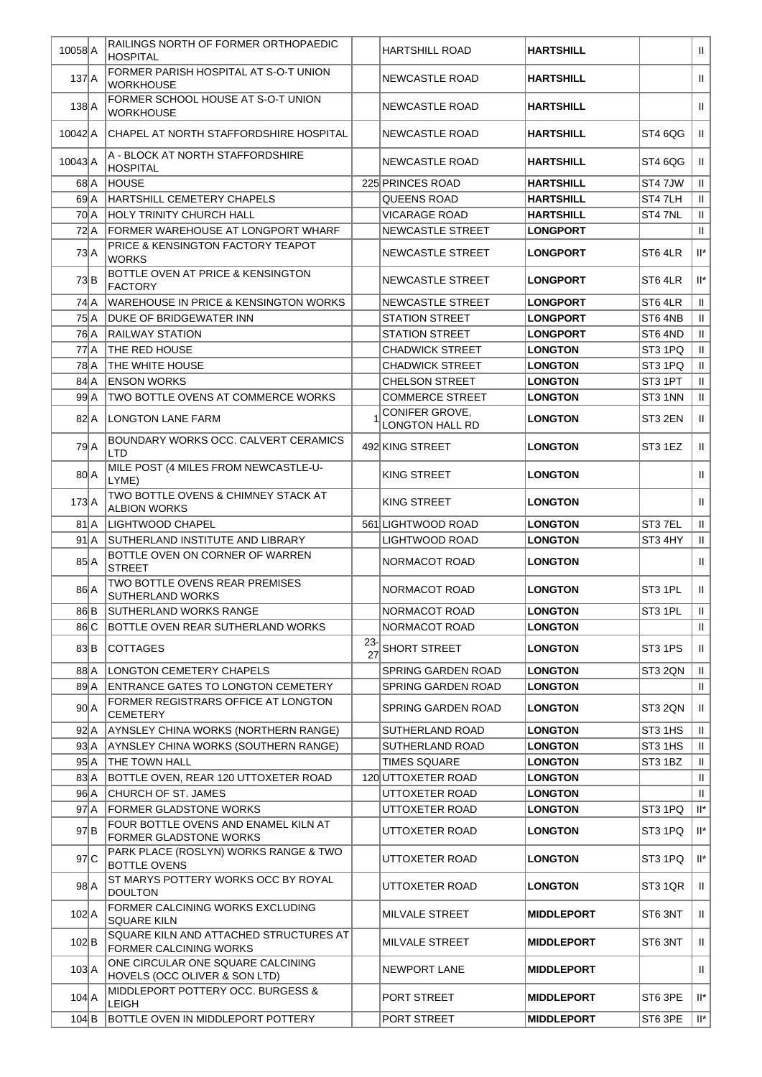| 10058 A            |       | RAILINGS NORTH OF FORMER ORTHOPAEDIC<br><b>HOSPITAL</b>            |           | HARTSHILL ROAD                           | <b>HARTSHILL</b>  |         | $\mathbf{H}$              |
|--------------------|-------|--------------------------------------------------------------------|-----------|------------------------------------------|-------------------|---------|---------------------------|
| $137$ $A$          |       | FORMER PARISH HOSPITAL AT S-O-T UNION<br><b>WORKHOUSE</b>          |           | NEWCASTLE ROAD                           | <b>HARTSHILL</b>  |         | $\mathbf{H}$              |
| $138$ $A$          |       | FORMER SCHOOL HOUSE AT S-O-T UNION<br><b>WORKHOUSE</b>             |           | <b>NEWCASTLE ROAD</b>                    | <b>HARTSHILL</b>  |         | $\mathbf{I}$              |
| 10042 A            |       | CHAPEL AT NORTH STAFFORDSHIRE HOSPITAL                             |           | NEWCASTLE ROAD                           | <b>HARTSHILL</b>  | ST4 6QG | $\mathbf{H}$              |
| 10043 A            |       | A - BLOCK AT NORTH STAFFORDSHIRE<br><b>HOSPITAL</b>                |           | NEWCASTLE ROAD                           | <b>HARTSHILL</b>  | ST4 6QG | $\mathbf{H}$              |
| $68$ $A$           |       | <b>HOUSE</b>                                                       |           | 225 PRINCES ROAD                         | <b>HARTSHILL</b>  | ST47JW  | $\,$ H $\,$               |
| 69A                |       | HARTSHILL CEMETERY CHAPELS                                         |           | QUEENS ROAD                              | <b>HARTSHILL</b>  | ST47LH  | $\mathbf{H}$              |
| 70 A               |       | HOLY TRINITY CHURCH HALL                                           |           | VICARAGE ROAD                            | <b>HARTSHILL</b>  | ST47NL  | $\mathbf{H}$              |
| $72$ $A$           |       | <b>FORMER WAREHOUSE AT LONGPORT WHARF</b>                          |           | NEWCASTLE STREET                         | <b>LONGPORT</b>   |         | $\mathbf{H}$              |
|                    |       | PRICE & KENSINGTON FACTORY TEAPOT                                  |           |                                          |                   |         |                           |
| $73$ $A$           |       | <b>WORKS</b>                                                       |           | <b>NEWCASTLE STREET</b>                  | <b>LONGPORT</b>   | ST6 4LR | $\mathsf{II}^\star$       |
| 73 B               |       | <b>BOTTLE OVEN AT PRICE &amp; KENSINGTON</b><br><b>FACTORY</b>     |           | NEWCASTLE STREET                         | <b>LONGPORT</b>   | ST6 4LR | $\mathsf{II}^\star$       |
| 74 A               |       | <b>WAREHOUSE IN PRICE &amp; KENSINGTON WORKS</b>                   |           | <b>NEWCASTLE STREET</b>                  | <b>LONGPORT</b>   | ST6 4LR | $\rm H$                   |
| 75 A               |       | <b>DUKE OF BRIDGEWATER INN</b>                                     |           | <b>STATION STREET</b>                    | <b>LONGPORT</b>   | ST6 4NB | $\,$ H $\,$               |
| 76 A               |       | <b>RAILWAY STATION</b>                                             |           | <b>STATION STREET</b>                    | <b>LONGPORT</b>   | ST6 4ND | $\mathbf{H}$              |
| 77 A               |       | <b>THE RED HOUSE</b>                                               |           | <b>CHADWICK STREET</b>                   | <b>LONGTON</b>    | ST3 1PQ | $\,$ H                    |
| 78 A               |       | <b>THE WHITE HOUSE</b>                                             |           | <b>CHADWICK STREET</b>                   | <b>LONGTON</b>    | ST3 1PQ | $\mathbf{H}$              |
| 84 A               |       | <b>ENSON WORKS</b>                                                 |           | <b>CHELSON STREET</b>                    | <b>LONGTON</b>    | ST3 1PT | $\mathbf{H}$              |
| 99 A               |       | TWO BOTTLE OVENS AT COMMERCE WORKS                                 |           | <b>COMMERCE STREET</b>                   | <b>LONGTON</b>    | ST3 1NN | $\ensuremath{\mathsf{H}}$ |
| $82$ $A$           |       | LONGTON LANE FARM                                                  |           | CONIFER GROVE,<br><b>LONGTON HALL RD</b> | <b>LONGTON</b>    | ST3 2EN | $\mathbf{H}$              |
| 79 A               |       | BOUNDARY WORKS OCC. CALVERT CERAMICS<br><b>LTD</b>                 |           | 492 KING STREET                          | <b>LONGTON</b>    | ST3 1EZ | $\mathbf{II}$             |
| 80 A               |       | MILE POST (4 MILES FROM NEWCASTLE-U-<br>LYME)                      |           | KING STREET                              | <b>LONGTON</b>    |         | $\mathbf{H}$              |
| $173$ $A$          |       | TWO BOTTLE OVENS & CHIMNEY STACK AT<br><b>ALBION WORKS</b>         |           | KING STREET                              | <b>LONGTON</b>    |         | $\mathbf{H}$              |
| 81A                |       | <b>LIGHTWOOD CHAPEL</b>                                            |           | 561 LIGHTWOOD ROAD                       | <b>LONGTON</b>    | ST37EL  | $\ensuremath{\mathsf{H}}$ |
| 91 <sub>AA</sub>   |       | SUTHERLAND INSTITUTE AND LIBRARY                                   |           | LIGHTWOOD ROAD                           | <b>LONGTON</b>    | ST3 4HY | $\mathbf{II}$             |
| 85A                |       | BOTTLE OVEN ON CORNER OF WARREN<br><b>STREET</b>                   |           | NORMACOT ROAD                            | <b>LONGTON</b>    |         | Ш                         |
| 86A                |       | TWO BOTTLE OVENS REAR PREMISES<br>SUTHERLAND WORKS                 |           | NORMACOT ROAD                            | <b>LONGTON</b>    | ST3 1PL | $\mathbf{H}$              |
|                    | 86 B  | SUTHERLAND WORKS RANGE                                             |           | NORMACOT ROAD                            | LONGTON           | ST3 1PL | $\,$ H $\,$               |
| 86 C               |       | BOTTLE OVEN REAR SUTHERLAND WORKS                                  |           | NORMACOT ROAD                            | <b>LONGTON</b>    |         | $\mathbf{H}$              |
| 83 B               |       | COTTAGES                                                           | 23-<br>27 | SHORT STREET                             | <b>LONGTON</b>    | ST3 1PS | $\mathbf{H}$              |
| 88 A               |       | <b>LONGTON CEMETERY CHAPELS</b>                                    |           | SPRING GARDEN ROAD                       | <b>LONGTON</b>    | ST3 2QN | $\, \parallel$            |
|                    | 89 A  | <b>ENTRANCE GATES TO LONGTON CEMETERY</b>                          |           | <b>SPRING GARDEN ROAD</b>                | <b>LONGTON</b>    |         | $\mathbf{H}$              |
| $90 \, \text{A}$   |       | FORMER REGISTRARS OFFICE AT LONGTON<br><b>CEMETERY</b>             |           | SPRING GARDEN ROAD                       | <b>LONGTON</b>    | ST3 2QN | $\mathbf{H}$              |
| 92 A               |       | AYNSLEY CHINA WORKS (NORTHERN RANGE)                               |           | SUTHERLAND ROAD                          | <b>LONGTON</b>    | ST3 1HS | $\mathbf{H}$              |
|                    | 93A   | AYNSLEY CHINA WORKS (SOUTHERN RANGE)                               |           | SUTHERLAND ROAD                          | <b>LONGTON</b>    | ST3 1HS | $\,$ H $\,$               |
| 95A                |       | <b>THE TOWN HALL</b>                                               |           | <b>TIMES SQUARE</b>                      | <b>LONGTON</b>    | ST3 1BZ | $\mathbf{H}$              |
| 83A                |       | BOTTLE OVEN, REAR 120 UTTOXETER ROAD                               |           | 120 UTTOXETER ROAD                       | <b>LONGTON</b>    |         | $\,$ H $\,$               |
|                    | 96 A  | CHURCH OF ST. JAMES                                                |           | UTTOXETER ROAD                           | <b>LONGTON</b>    |         | $\mathbf{H}$              |
| 97A                |       | <b>FORMER GLADSTONE WORKS</b>                                      |           | UTTOXETER ROAD                           | <b>LONGTON</b>    | ST3 1PQ | $\mathsf{II}^\star$       |
|                    |       | FOUR BOTTLE OVENS AND ENAMEL KILN AT                               |           |                                          |                   |         |                           |
| 97B                |       | <b>FORMER GLADSTONE WORKS</b>                                      |           | UTTOXETER ROAD                           | <b>LONGTON</b>    | ST3 1PQ | $\mathsf{II}^\star$       |
| 97 C               |       | PARK PLACE (ROSLYN) WORKS RANGE & TWO<br>BOTTLE OVENS              |           | UTTOXETER ROAD                           | <b>LONGTON</b>    | ST3 1PQ | $\mathbb{H}^*$            |
| 98A                |       | ST MARYS POTTERY WORKS OCC BY ROYAL<br><b>DOULTON</b>              |           | UTTOXETER ROAD                           | <b>LONGTON</b>    | ST3 1QR | $\mathbf{H}$              |
| $102$ A            |       | FORMER CALCINING WORKS EXCLUDING<br><b>SQUARE KILN</b>             |           | MILVALE STREET                           | <b>MIDDLEPORT</b> | ST6 3NT | $   \cdot   $             |
| $102$ <sub>B</sub> |       | SQUARE KILN AND ATTACHED STRUCTURES AT<br>FORMER CALCINING WORKS   |           | MILVALE STREET                           | <b>MIDDLEPORT</b> | ST6 3NT | $\mathbf{H}$              |
| $103$ $A$          |       | ONE CIRCULAR ONE SQUARE CALCINING<br>HOVELS (OCC OLIVER & SON LTD) |           | NEWPORT LANE                             | <b>MIDDLEPORT</b> |         | H.                        |
| $104$ $A$          |       | MIDDLEPORT POTTERY OCC. BURGESS &<br>LEIGH                         |           | PORT STREET                              | <b>MIDDLEPORT</b> | ST6 3PE | $  ^*$                    |
|                    | 104 B | <b>BOTTLE OVEN IN MIDDLEPORT POTTERY</b>                           |           | PORT STREET                              | <b>MIDDLEPORT</b> | ST6 3PE | $\ \cdot\ $               |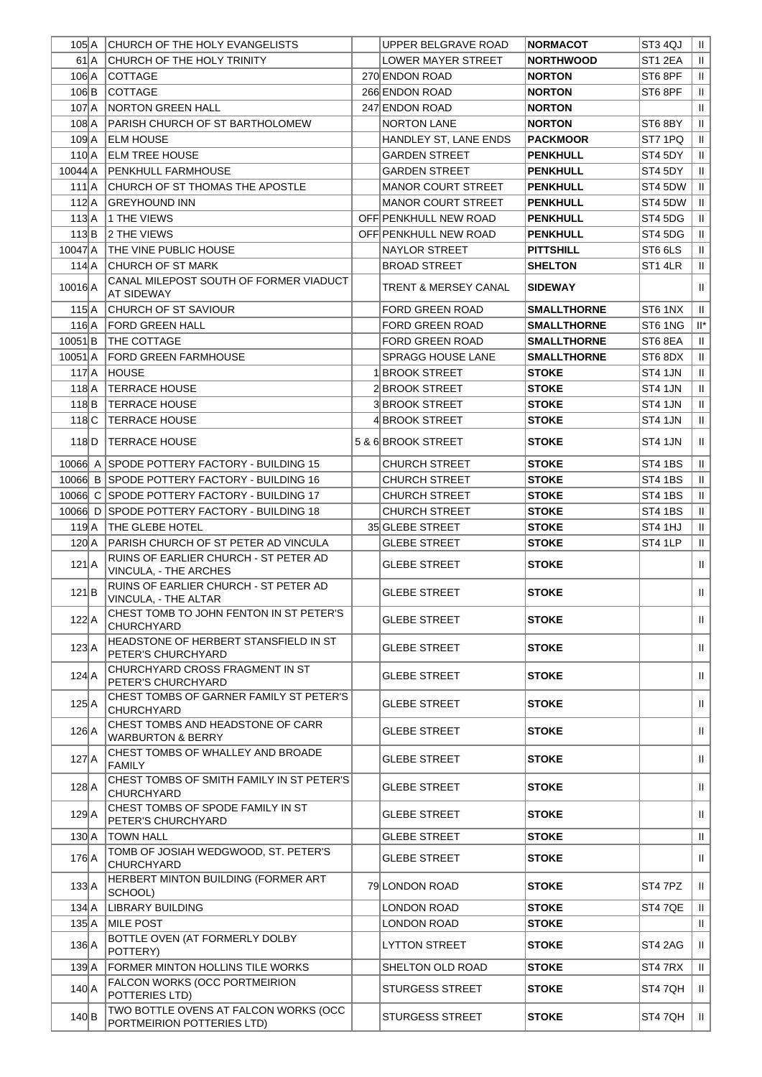| 105 A          |      | CHURCH OF THE HOLY EVANGELISTS                                 | UPPER BELGRAVE ROAD             | <b>NORMACOT</b>    | ST3 4QJ        | $\parallel$               |
|----------------|------|----------------------------------------------------------------|---------------------------------|--------------------|----------------|---------------------------|
|                | 61 A | CHURCH OF THE HOLY TRINITY                                     | <b>LOWER MAYER STREET</b>       | <b>NORTHWOOD</b>   | ST1 2EA        | $\mathbf{H}$              |
| 106 A          |      | <b>COTTAGE</b>                                                 | 270 ENDON ROAD                  | <b>NORTON</b>      | ST68PF         | $\mathbf{H}$              |
| $106$ $B$      |      | <b>COTTAGE</b>                                                 | 266 ENDON ROAD                  | <b>NORTON</b>      | ST6 8PF        | $\mathbf{II}$             |
| $107$ $A$      |      | <b>NORTON GREEN HALL</b>                                       | 247 ENDON ROAD                  | <b>NORTON</b>      |                | $\,$ H                    |
| 108 A          |      | PARISH CHURCH OF ST BARTHOLOMEW                                | <b>NORTON LANE</b>              | <b>NORTON</b>      | ST6 8BY        | $\,$ H                    |
| $1092$ A       |      | <b>ELM HOUSE</b>                                               | HANDLEY ST, LANE ENDS           | <b>PACKMOOR</b>    | ST7 1PQ        | $\mathbf{H}$              |
| 110 A          |      | <b>ELM TREE HOUSE</b>                                          | GARDEN STREET                   | <b>PENKHULL</b>    | ST4 5DY        | $\mathbf{H}$              |
| $10044$ $A$    |      | PENKHULL FARMHOUSE                                             | <b>GARDEN STREET</b>            | <b>PENKHULL</b>    | ST4 5DY        | $\mathbf{H}$              |
| $111$ $A$      |      | <b>ICHURCH OF ST THOMAS THE APOSTLE</b>                        | <b>MANOR COURT STREET</b>       | <b>PENKHULL</b>    | ST4 5DW        | $\mathbf{H}$              |
|                |      |                                                                | <b>MANOR COURT STREET</b>       |                    | ST4 5DW        | $\mathbf{H}$              |
| 112 A          |      | GREYHOUND INN                                                  |                                 | <b>PENKHULL</b>    |                |                           |
| 113A           |      | 1 THE VIEWS                                                    | OFF PENKHULL NEW ROAD           | <b>PENKHULL</b>    | ST4 5DG        | $\mathbf{H}$              |
| $113$ $B$      |      | 2 THE VIEWS                                                    | OFF PENKHULL NEW ROAD           | <b>PENKHULL</b>    | ST4 5DG        | $\mathbf{H}$              |
| 10047 A        |      | <b>THE VINE PUBLIC HOUSE</b>                                   | NAYLOR STREET                   | <b>PITTSHILL</b>   | ST6 6LS        | $\mathbf{H}$              |
| 114 A          |      | <b>CHURCH OF ST MARK</b>                                       | <b>BROAD STREET</b>             | <b>SHELTON</b>     | ST1 4LR        | $\mathbf{H}$              |
| 10016 A        |      | CANAL MILEPOST SOUTH OF FORMER VIADUCT<br>AT SIDEWAY           | <b>TRENT &amp; MERSEY CANAL</b> | <b>SIDEWAY</b>     |                | $\mathbf{H}$              |
| 115A           |      | CHURCH OF ST SAVIOUR                                           | <b>FORD GREEN ROAD</b>          | <b>SMALLTHORNE</b> | ST6 1NX        | $\mathbf{H}$              |
| $116$ $A$      |      | FORD GREEN HALL                                                | <b>FORD GREEN ROAD</b>          | <b>SMALLTHORNE</b> | ST6 1NG        | $\mathbb{H}^*$            |
| $10051$ B      |      | THE COTTAGE                                                    | <b>FORD GREEN ROAD</b>          | <b>SMALLTHORNE</b> | ST6 8EA        | $\mathbf{H}$              |
| $10051$ $A$    |      | <b>FORD GREEN FARMHOUSE</b>                                    | SPRAGG HOUSE LANE               | <b>SMALLTHORNE</b> | ST6 8DX        | $\mathbf{H}$              |
| 117A           |      | <b>HOUSE</b>                                                   | 1 BROOK STREET                  | <b>STOKE</b>       | ST4 1JN        | $\mathbf{H}$              |
| 118 A          |      | <b>TERRACE HOUSE</b>                                           | 2 BROOK STREET                  | <b>STOKE</b>       | ST4 1JN        | $\ensuremath{\mathsf{H}}$ |
| $118$ $B$      |      | <b>TERRACE HOUSE</b>                                           | <b>3 BROOK STREET</b>           | <b>STOKE</b>       | ST4 1JN        | $\mathbf{H}$              |
| $118$ C        |      | <b>TERRACE HOUSE</b>                                           |                                 |                    | ST4 1JN        |                           |
|                |      |                                                                | 4 BROOK STREET                  | STOKE              |                | $\mathbf{II}$             |
| $118$ D        |      | <b>TERRACE HOUSE</b>                                           | 5 & 6 BROOK STREET              | <b>STOKE</b>       | ST4 1JN        | $\mathbf{II}$             |
|                |      | 10066 A SPODE POTTERY FACTORY - BUILDING 15                    | <b>CHURCH STREET</b>            | <b>STOKE</b>       | <b>ST4 1BS</b> | $\mathbf{H}$              |
|                |      | 10066 B SPODE POTTERY FACTORY - BUILDING 16                    | <b>CHURCH STREET</b>            | <b>STOKE</b>       | <b>ST4 1BS</b> | $\mathbf{H}$              |
|                |      | 10066 C SPODE POTTERY FACTORY - BUILDING 17                    | <b>CHURCH STREET</b>            | <b>STOKE</b>       | ST4 1BS        | $\mathbf{II}$             |
|                |      | 10066 D SPODE POTTERY FACTORY - BUILDING 18                    | <b>CHURCH STREET</b>            | <b>STOKE</b>       | ST4 1BS        | $\mathbf{H}$              |
| 119 A          |      | <b>THE GLEBE HOTEL</b>                                         | 35 GLEBE STREET                 | <b>STOKE</b>       | ST4 1HJ        | $\mathbf{II}$             |
| $120 \mid A$   |      | PARISH CHURCH OF ST PETER AD VINCULA                           | <b>GLEBE STREET</b>             | <b>STOKE</b>       | ST4 1LP        | $\mathbf{II}$             |
| $121$ $A$      |      | RUINS OF EARLIER CHURCH - ST PETER AD<br>VINCULA, - THE ARCHES | GLEBE STREET                    | <b>STOKE</b>       |                | Ш                         |
| $121$ $B$      |      | RUINS OF EARLIER CHURCH - ST PETER AD<br>VINCULA, - THE ALTAR  | <b>GLEBE STREET</b>             | <b>STOKE</b>       |                | $\mathbf{I}$              |
| $122$ $A$      |      | CHEST TOMB TO JOHN FENTON IN ST PETER'S<br>CHURCHYARD          | <b>GLEBE STREET</b>             | <b>STOKE</b>       |                | $   \cdot   $             |
| $123$ $A$      |      | HEADSTONE OF HERBERT STANSFIELD IN ST<br>PETER'S CHURCHYARD    | GLEBE STREET                    | <b>STOKE</b>       |                | Ш                         |
| $124$ $A$      |      | CHURCHYARD CROSS FRAGMENT IN ST<br>PETER'S CHURCHYARD          | <b>GLEBE STREET</b>             | <b>STOKE</b>       |                | $\mathbf{II}$             |
|                |      | CHEST TOMBS OF GARNER FAMILY ST PETER'S                        |                                 |                    |                |                           |
| $125\vert A$   |      | CHURCHYARD<br>CHEST TOMBS AND HEADSTONE OF CARR                | <b>GLEBE STREET</b>             | <b>STOKE</b>       |                | $\mathbf{II}$             |
| $126$ $A$      |      | <b>WARBURTON &amp; BERRY</b>                                   | GLEBE STREET                    | STOKE              |                | H.                        |
| $127$ $A$      |      | CHEST TOMBS OF WHALLEY AND BROADE<br><b>FAMILY</b>             | <b>GLEBE STREET</b>             | <b>STOKE</b>       |                | $\mathbf{II}$             |
| $128$ $A$      |      | CHEST TOMBS OF SMITH FAMILY IN ST PETER'S<br>CHURCHYARD        | <b>GLEBE STREET</b>             | <b>STOKE</b>       |                | Ш                         |
| $129$ $A$      |      | CHEST TOMBS OF SPODE FAMILY IN ST<br>PETER'S CHURCHYARD        | <b>GLEBE STREET</b>             | <b>STOKE</b>       |                | Ш                         |
| $130 \text{A}$ |      | <b>TOWN HALL</b>                                               | <b>GLEBE STREET</b>             | <b>STOKE</b>       |                | $\mathbf{II}$             |
| 176 A          |      | TOMB OF JOSIAH WEDGWOOD, ST. PETER'S<br>CHURCHYARD             | <b>GLEBE STREET</b>             | <b>STOKE</b>       |                | Ш.                        |
| $133$ $A$      |      | HERBERT MINTON BUILDING (FORMER ART<br>SCHOOL)                 | 79 LONDON ROAD                  | <b>STOKE</b>       | ST4 7PZ        | $\mathbf{H}$              |
| 134 A          |      | <b>LIBRARY BUILDING</b>                                        | LONDON ROAD                     | <b>STOKE</b>       | ST47QE         | $\mathbf{II}$             |
| $135\text{A}$  |      | <b>MILE POST</b>                                               | LONDON ROAD                     | STOKE              |                | H.                        |
| $136$ $A$      |      | BOTTLE OVEN (AT FORMERLY DOLBY<br>POTTERY)                     | LYTTON STREET                   | <b>STOKE</b>       | ST4 2AG        | H.                        |
| 139A           |      | FORMER MINTON HOLLINS TILE WORKS                               | SHELTON OLD ROAD                | <b>STOKE</b>       | ST4 7RX        | $\mathbf{H}$              |
| $140 \text{A}$ |      | FALCON WORKS (OCC PORTMEIRION<br>POTTERIES LTD)                | <b>STURGESS STREET</b>          | <b>STOKE</b>       | ST4 7QH        | $\parallel$               |
|                |      | TWO BOTTLE OVENS AT FALCON WORKS (OCC                          |                                 |                    |                |                           |
| 140 B          |      | PORTMEIRION POTTERIES LTD)                                     | <b>STURGESS STREET</b>          | <b>STOKE</b>       | ST4 7QH        | $   \cdot   $             |